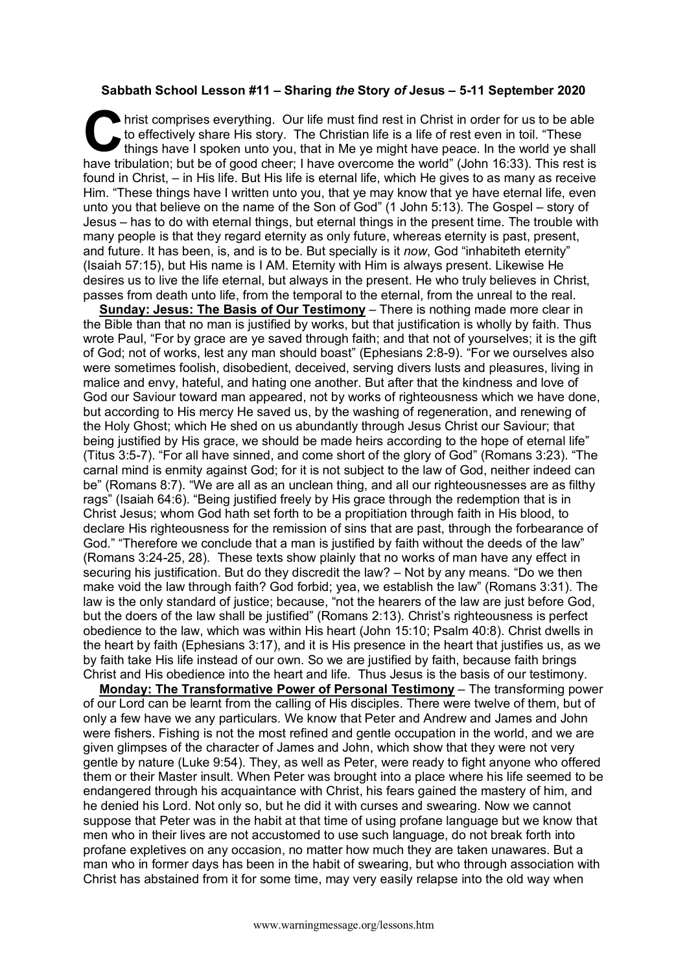## **Sabbath School Lesson #11 – Sharing** *the* **Story** *of* **Jesus – 5-11 September 2020**

hrist comprises everything. Our life must find rest in Christ in order for us to be able to effectively share His story. The Christian life is a life of rest even in toil. "These things have I spoken unto you, that in Me y to effectively share His story. The Christian life is a life of rest even in toil. "These things have I spoken unto you, that in Me ye might have peace. In the world ye shall have tribulation; but be of good cheer; I have overcome the world" (John 16:33). This rest is found in Christ, – in His life. But His life is eternal life, which He gives to as many as receive Him. "These things have I written unto you, that ye may know that ye have eternal life, even unto you that believe on the name of the Son of God" (1 John 5:13). The Gospel – story of Jesus – has to do with eternal things, but eternal things in the present time. The trouble with many people is that they regard eternity as only future, whereas eternity is past, present, and future. It has been, is, and is to be. But specially is it *now*, God "inhabiteth eternity" (Isaiah 57:15), but His name is I AM. Eternity with Him is always present. Likewise He desires us to live the life eternal, but always in the present. He who truly believes in Christ, passes from death unto life, from the temporal to the eternal, from the unreal to the real.

**Sunday: Jesus: The Basis of Our Testimony** – There is nothing made more clear in the Bible than that no man is justified by works, but that justification is wholly by faith. Thus wrote Paul, "For by grace are ye saved through faith; and that not of yourselves; it is the gift of God; not of works, lest any man should boast" (Ephesians 2:8-9). "For we ourselves also were sometimes foolish, disobedient, deceived, serving divers lusts and pleasures, living in malice and envy, hateful, and hating one another. But after that the kindness and love of God our Saviour toward man appeared, not by works of righteousness which we have done, but according to His mercy He saved us, by the washing of regeneration, and renewing of the Holy Ghost; which He shed on us abundantly through Jesus Christ our Saviour; that being justified by His grace, we should be made heirs according to the hope of eternal life" (Titus 3:5-7). "For all have sinned, and come short of the glory of God" (Romans 3:23). "The carnal mind is enmity against God; for it is not subject to the law of God, neither indeed can be" (Romans 8:7). "We are all as an unclean thing, and all our righteousnesses are as filthy rags" (Isaiah 64:6). "Being justified freely by His grace through the redemption that is in Christ Jesus; whom God hath set forth to be a propitiation through faith in His blood, to declare His righteousness for the remission of sins that are past, through the forbearance of God." "Therefore we conclude that a man is justified by faith without the deeds of the law" (Romans 3:24-25, 28). These texts show plainly that no works of man have any effect in securing his justification. But do they discredit the law? – Not by any means. "Do we then make void the law through faith? God forbid; yea, we establish the law" (Romans 3:31). The law is the only standard of justice; because, "not the hearers of the law are just before God, but the doers of the law shall be justified" (Romans 2:13). Christ's righteousness is perfect obedience to the law, which was within His heart (John 15:10; Psalm 40:8). Christ dwells in the heart by faith (Ephesians 3:17), and it is His presence in the heart that justifies us, as we by faith take His life instead of our own. So we are justified by faith, because faith brings Christ and His obedience into the heart and life. Thus Jesus is the basis of our testimony.

**Monday: The Transformative Power of Personal Testimony** – The transforming power of our Lord can be learnt from the calling of His disciples. There were twelve of them, but of only a few have we any particulars. We know that Peter and Andrew and James and John were fishers. Fishing is not the most refined and gentle occupation in the world, and we are given glimpses of the character of James and John, which show that they were not very gentle by nature (Luke 9:54). They, as well as Peter, were ready to fight anyone who offered them or their Master insult. When Peter was brought into a place where his life seemed to be endangered through his acquaintance with Christ, his fears gained the mastery of him, and he denied his Lord. Not only so, but he did it with curses and swearing. Now we cannot suppose that Peter was in the habit at that time of using profane language but we know that men who in their lives are not accustomed to use such language, do not break forth into profane expletives on any occasion, no matter how much they are taken unawares. But a man who in former days has been in the habit of swearing, but who through association with Christ has abstained from it for some time, may very easily relapse into the old way when